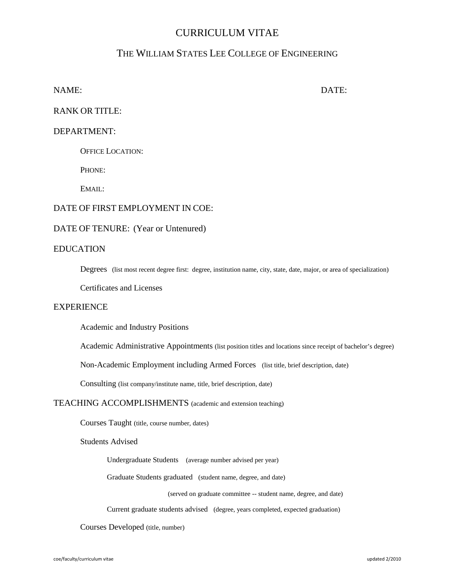# CURRICULUM VITAE

## THE WILLIAM STATES LEE COLLEGE OF ENGINEERING

NAME: DATE:

RANK OR TITLE:

## DEPARTMENT:

OFFICE LOCATION:

PHONE:

EMAIL:

## DATE OF FIRST EMPLOYMENT IN COE:

#### DATE OF TENURE: (Year or Untenured)

#### EDUCATION

Degrees (list most recent degree first: degree, institution name, city, state, date, major, or area of specialization)

Certificates and Licenses

## **EXPERIENCE**

Academic and Industry Positions

Academic Administrative Appointments (list position titles and locations since receipt of bachelor's degree)

Non-Academic Employment including Armed Forces (list title, brief description, date)

Consulting (list company/institute name, title, brief description, date)

#### TEACHING ACCOMPLISHMENTS (academic and extension teaching)

Courses Taught (title, course number, dates)

Students Advised

Undergraduate Students (average number advised per year)

Graduate Students graduated (student name, degree, and date)

(served on graduate committee -- student name, degree, and date)

Current graduate students advised (degree, years completed, expected graduation)

Courses Developed (title, number)